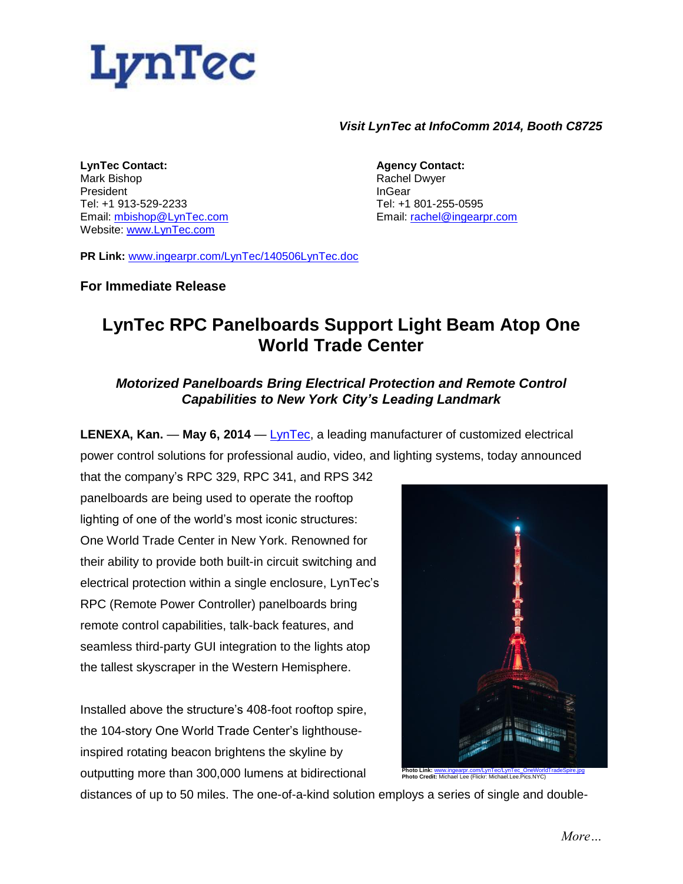

#### *Visit LynTec at InfoComm 2014, Booth C8725*

**LynTec Contact:** Mark Bishop President Tel: +1 913-529-2233 Email: [mbishop@LynTec.com](mailto:mbishop@LynTec.com) Website: [www.LynTec.com](http://www.lyntec.com/)

**Agency Contact:** Rachel Dwyer InGear Tel: +1 801-255-0595 Email: [rachel@ingearpr.com](mailto:rachel@ingearpr.com)

**PR Link:** [www.ingearpr.com/LynTec/140506LynTec.doc](http://www.ingearpr.com/LynTec/140506LynTec.doc)

### **For Immediate Release**

# **LynTec RPC Panelboards Support Light Beam Atop One World Trade Center**

## *Motorized Panelboards Bring Electrical Protection and Remote Control Capabilities to New York City's Leading Landmark*

**LENEXA, Kan.** — **May 6, 2014** — [LynTec,](http://www.lyntec.com/) a leading manufacturer of customized electrical power control solutions for professional audio, video, and lighting systems, today announced

that the company's RPC 329, RPC 341, and RPS 342 panelboards are being used to operate the rooftop lighting of one of the world's most iconic structures: One World Trade Center in New York. Renowned for their ability to provide both built-in circuit switching and electrical protection within a single enclosure, LynTec's RPC (Remote Power Controller) panelboards bring remote control capabilities, talk-back features, and seamless third-party GUI integration to the lights atop the tallest skyscraper in the Western Hemisphere.

Installed above the structure's 408-foot rooftop spire, the 104-story One World Trade Center's lighthouseinspired rotating beacon brightens the skyline by outputting more than 300,000 lumens at bidirectional



distances of up to 50 miles. The one-of-a-kind solution employs a series of single and double-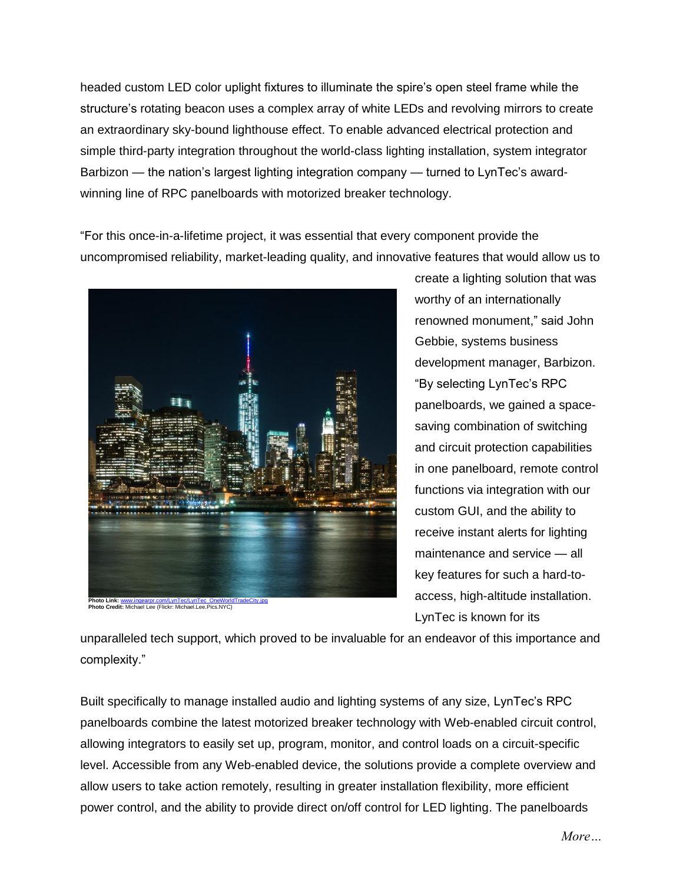headed custom LED color uplight fixtures to illuminate the spire's open steel frame while the structure's rotating beacon uses a complex array of white LEDs and revolving mirrors to create an extraordinary sky-bound lighthouse effect. To enable advanced electrical protection and simple third-party integration throughout the world-class lighting installation, system integrator Barbizon — the nation's largest lighting integration company — turned to LynTec's awardwinning line of RPC panelboards with motorized breaker technology.

"For this once-in-a-lifetime project, it was essential that every component provide the uncompromised reliability, market-leading quality, and innovative features that would allow us to



**Photo Link:** [www.ingearpr.com/LynTec/LynTec\\_OneWorldTradeCity.jpg](http://www.ingearpr.com/LynTec/LynTec_OneWorldTradeCity.jpg) **Photo Credit:** Michael Lee (Flickr: Michael.Lee.Pics.NYC)

create a lighting solution that was worthy of an internationally renowned monument," said John Gebbie, systems business development manager, Barbizon. "By selecting LynTec's RPC panelboards, we gained a spacesaving combination of switching and circuit protection capabilities in one panelboard, remote control functions via integration with our custom GUI, and the ability to receive instant alerts for lighting maintenance and service — all key features for such a hard-toaccess, high-altitude installation. LynTec is known for its

unparalleled tech support, which proved to be invaluable for an endeavor of this importance and complexity."

Built specifically to manage installed audio and lighting systems of any size, LynTec's RPC panelboards combine the latest motorized breaker technology with Web-enabled circuit control, allowing integrators to easily set up, program, monitor, and control loads on a circuit-specific level. Accessible from any Web-enabled device, the solutions provide a complete overview and allow users to take action remotely, resulting in greater installation flexibility, more efficient power control, and the ability to provide direct on/off control for LED lighting. The panelboards